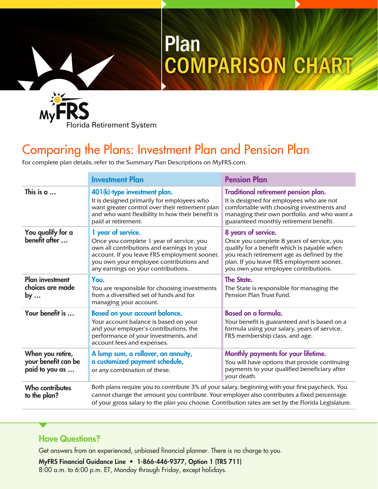

## Comparing the Plans: Investment Plan and Pension Plan

Plan

COMPARISON CHART

For complete plan details, refer to the Summary Plan Descriptions on MyFRS.com.

|                                                           | <b>Investment Plan</b>                                                                                                                                                                                                                                                                               | <b>Pension Plan</b>                                                                                                                                                                                                                                |  |
|-----------------------------------------------------------|------------------------------------------------------------------------------------------------------------------------------------------------------------------------------------------------------------------------------------------------------------------------------------------------------|----------------------------------------------------------------------------------------------------------------------------------------------------------------------------------------------------------------------------------------------------|--|
| This is $a$                                               | 401(k)-type investment plan.<br>It is designed primarily for employees who<br>want greater control over their retirement plan<br>and who want flexibility in how their benefit is<br>paid at retirement.                                                                                             | Traditional retirement pension plan.<br>It is designed for employees who are not<br>comfortable with choosing investments and<br>managing their own portfolio, and who want a<br>guaranteed monthly retirement benefit.                            |  |
| You qualify for a<br>benefit after                        | 1 year of service.<br>Once you complete 1 year of service, you<br>own all contributions and earnings in your<br>account. If you leave FRS employment sooner,<br>you own your employee contributions and<br>any earnings on your contributions.                                                       | 8 years of service.<br>Once you complete 8 years of service, you<br>qualify for a benefit which is payable when<br>you reach retirement age as defined by the<br>plan. If you leave FRS employment sooner,<br>you own your employee contributions. |  |
| <b>Plan investment</b><br>choices are made<br>by $\ldots$ | You.<br>You are responsible for choosing investments<br>from a diversified set of funds and for<br>managing your account.                                                                                                                                                                            | <b>The State.</b><br>The State is responsible for managing the<br>Pension Plan Trust Fund.                                                                                                                                                         |  |
| Your benefit is                                           | <b>Based on your account balance.</b><br>Your account balance is based on your<br>and your employer's contributions, the<br>performance of your investments, and<br>account fees and expenses.                                                                                                       | <b>Based on a formula.</b><br>Your benefit is guaranteed and is based on a<br>formula using your salary, years of service,<br>FRS membership class, and age.                                                                                       |  |
| When you retire,<br>your benefit can be<br>paid to you as | A lump sum, a rollover, an annuity,<br>a customized payment schedule,<br>or any combination of these.                                                                                                                                                                                                | Monthly payments for your lifetime.<br>You will have options that provide continuing<br>payments to your qualified beneficiary after<br>your death.                                                                                                |  |
| <b>Who contributes</b><br>to the plan?                    | Both plans require you to contribute 3% of your salary, beginning with your first paycheck. You<br>cannot change the amount you contribute. Your employer also contributes a fixed percentage<br>of your gross salary to the plan you choose. Contribution rates are set by the Florida Legislature. |                                                                                                                                                                                                                                                    |  |

## Have Questions?

Get answers from an experienced, unbiased financial planner. There is no charge to you.

MyFRS Financial Guidance Line • 1-866-446-9377, Option 1 (TRS 711) 8:00 a.m. to 6:00 p.m. ET, Monday through Friday, except holidays.